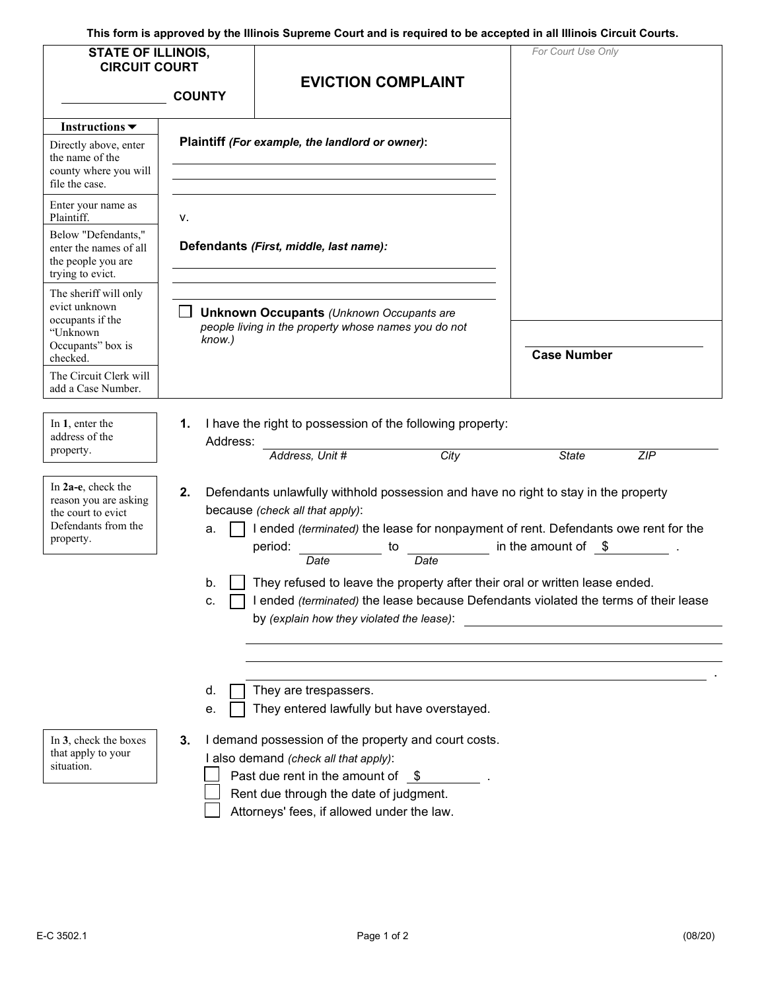**This form is approved by the Illinois Supreme Court and is required to be accepted in all Illinois Circuit Courts.** 

| <b>STATE OF ILLINOIS,</b><br><b>CIRCUIT COURT</b><br><b>COUNTY</b>                                                                                      |                                                                                                                                                                                                                                                                                                                                                                                                                                                                                                                     | <b>EVICTION COMPLAINT</b>                                                                                                                                                                                                                                                                          | For Court Use Only  |  |  |  |
|---------------------------------------------------------------------------------------------------------------------------------------------------------|---------------------------------------------------------------------------------------------------------------------------------------------------------------------------------------------------------------------------------------------------------------------------------------------------------------------------------------------------------------------------------------------------------------------------------------------------------------------------------------------------------------------|----------------------------------------------------------------------------------------------------------------------------------------------------------------------------------------------------------------------------------------------------------------------------------------------------|---------------------|--|--|--|
| Instructions $\blacktriangledown$<br>Directly above, enter<br>the name of the<br>county where you will<br>file the case.                                |                                                                                                                                                                                                                                                                                                                                                                                                                                                                                                                     | Plaintiff (For example, the landlord or owner):                                                                                                                                                                                                                                                    |                     |  |  |  |
| Enter your name as<br>Plaintiff.<br>Below "Defendants,"<br>enter the names of all<br>the people you are<br>trying to evict.                             | ν.                                                                                                                                                                                                                                                                                                                                                                                                                                                                                                                  | Defendants (First, middle, last name):                                                                                                                                                                                                                                                             |                     |  |  |  |
| The sheriff will only<br>evict unknown<br>occupants if the<br>"Unknown<br>Occupants" box is<br>checked.<br>The Circuit Clerk will<br>add a Case Number. | know.)                                                                                                                                                                                                                                                                                                                                                                                                                                                                                                              | <b>Unknown Occupants (Unknown Occupants are</b><br>people living in the property whose names you do not                                                                                                                                                                                            | <b>Case Number</b>  |  |  |  |
| In 1, enter the<br>address of the<br>property.                                                                                                          | 1.<br>Address:                                                                                                                                                                                                                                                                                                                                                                                                                                                                                                      | I have the right to possession of the following property:<br>City<br>Address, Unit #                                                                                                                                                                                                               | <b>State</b><br>ZIP |  |  |  |
| In 2a-e, check the<br>reason you are asking<br>the court to evict<br>Defendants from the<br>property.                                                   | 2.<br>Defendants unlawfully withhold possession and have no right to stay in the property<br>because (check all that apply):<br>I ended (terminated) the lease for nonpayment of rent. Defendants owe rent for the<br>a.<br>in the amount of $\$$ .<br>period:<br>to<br>Date<br>Date<br>They refused to leave the property after their oral or written lease ended.<br>b.<br>I ended (terminated) the lease because Defendants violated the terms of their lease<br>c.<br>by (explain how they violated the lease): |                                                                                                                                                                                                                                                                                                    |                     |  |  |  |
| In 3, check the boxes<br>that apply to your<br>situation.                                                                                               | d.<br>е.<br>3.                                                                                                                                                                                                                                                                                                                                                                                                                                                                                                      | They are trespassers.<br>They entered lawfully but have overstayed.<br>I demand possession of the property and court costs.<br>I also demand (check all that apply):<br>Past due rent in the amount of $$$<br>Rent due through the date of judgment.<br>Attorneys' fees, if allowed under the law. |                     |  |  |  |